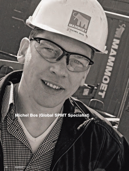# **Michel Bos (Global SPMT Specialist)**

MAN

MICHEL BOS

**56 MAMMOET** WORLD Issue 13 | 2014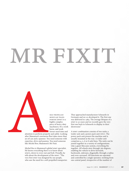# HI)

Modular Transporter (SPMT) is a highly complex piece of heavy-duty machinery. It's a work horse, and work horses need time and

SELF PROPELLED<br>
MODULAR TRANS<br>
MODULAR TRANS<br>
PORTER (SPMT)<br>
inghly complex<br>
piece of heavy-d<br>
machinery. It's a<br>
horse, and work<br>
attention to perform properly and safely. Loo<br>
after Mammoet's enormous fleet takes more t<br> attention to perform properly and safely. Looking after Mammoet's enormous fleet takes more than an oil can and a spanner. You need someone with expertise, drive and passion. You need someone like Michel Bos; Mammoet's Mr Fixit.

Michel Bos is Mammoet's global SPMT specialist. He knows everything there is to know about SPMTs, down to every nut and bolt. Proudly, he tells about the development of the SPMT: "The very first SPMT was designed by our people, who saw the need for a self-propelled transporter. They approached manufacturer Scheuerle in Germany and we co-developed it. The first one was delivered in 1984. The average lifespan of a SPMT is 30 years and we recently gave the very first one back to Scheuerle to display in their showroom."

A SPMT combination consists of two units; a trailer unit and a power pack unit (PPU). The power pack unit powers the machine and is usually mounted at the rear. A trailer unit comprises 4, 5, 6 or 8 axle lines. The units can be joined together in a variety of configurations. Like a giant Meccano system, everything fits together. All wheels steer through 360 degrees, enabling the vehicle to drive forwards, backwards, sideways, diagonally, through a radius and even carrousel. All functions are operated and controlled by a single operator, working from one central panel, irrespective of the number of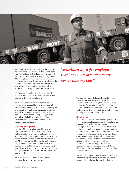

axle lines involved. The loading surface can be adjusted from 1200 to 1800 millimeters height, so that the load can be lifted and set down onto the supports without the use of auxiliary equipment. Moreover, the hydraulic suspension system compensates for tilted road surfaces, allowing the load to be kept level under all circumstances. It also allows the wheels to adjust themselves automatically to any bump in the road surface.

All maneuvers can be carried out under full payload, with absolute precision. Accurate positioning is the system's hallmark.

SPMTs are used in many sectors worldwide to transport big objects like bridge sections, oil refinery equipment and other loads too heavy for trucks. A heavy-duty machine requires a lot of specialist maintenance, which is where Michel comes in. But it does not stop there; as SPMT specialist, Michel Bos is also the perfect intermediate between Mammoet and SPMT manufacturer Scheuerle.

## **Growing up together**

As a boy, Michel was fascinated by anything mechanical or electronic. His dream was to fly fighter jets, but he wound up at technical college studying mechanical engineering. Eager to get his hands dirty and too impatient for university, at 22, Michel started working for the maintenance department at Mammoet's predecessor, Van Seumeren: "I had to roll up my sleeves straight away. On my first day they sent me out to pick up a huge crane and drive it into the hall. That was pretty cool!"

Michel never looked back and he and the company have grown up together.

*"Sometimes my wife complains that I pay more attention to my SPMTs than my kids!"*

> "Things have exploded since I joined in 1995. The maintenance department back then consisted of 6 or 7 people, but now we have 40 people for Europe and 80 for Canada alone. At that time we had 176 axle lines of SPMT, now we have more than 3,000 axle lines and 165 PPUs globally, and even more on order.

#### **Keeping busy**

When Michel started in his current position in 2009, he set about reorganizing the maintenance process: "We used to just do repairs, but I thought it made more sense to do preventive maintenance so I convinced the management to buy more SPMTs so that we could rotate them and do regular maintenance. This means they break down less often on the job, which saves time and money. I developed the whole inspection schedule, which is now used at all our maintenance sites throughout the world. Inspections and routine repairs usually take about a week for one mechanic, but we can do it quicker if necessary."

Michel is no longer as hands-on as he used to be: "My mornings are spent answering queries and requests from all over the world. If there's a